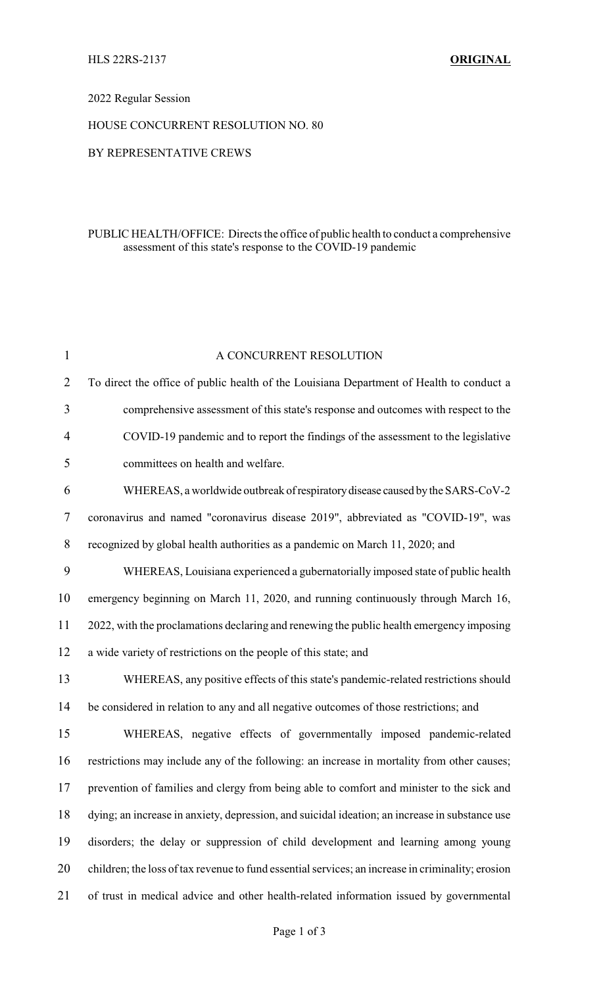## 2022 Regular Session

#### HOUSE CONCURRENT RESOLUTION NO. 80

### BY REPRESENTATIVE CREWS

## PUBLIC HEALTH/OFFICE: Directs the office of public health to conduct a comprehensive assessment of this state's response to the COVID-19 pandemic

| $\mathbf{1}$   | A CONCURRENT RESOLUTION                                                                           |
|----------------|---------------------------------------------------------------------------------------------------|
| $\overline{2}$ | To direct the office of public health of the Louisiana Department of Health to conduct a          |
| 3              | comprehensive assessment of this state's response and outcomes with respect to the                |
| 4              | COVID-19 pandemic and to report the findings of the assessment to the legislative                 |
| 5              | committees on health and welfare.                                                                 |
| 6              | WHEREAS, a worldwide outbreak of respiratory disease caused by the SARS-CoV-2                     |
| 7              | coronavirus and named "coronavirus disease 2019", abbreviated as "COVID-19", was                  |
| 8              | recognized by global health authorities as a pandemic on March 11, 2020; and                      |
| 9              | WHEREAS, Louisiana experienced a gubernatorially imposed state of public health                   |
| 10             | emergency beginning on March 11, 2020, and running continuously through March 16,                 |
| 11             | 2022, with the proclamations declaring and renewing the public health emergency imposing          |
| 12             | a wide variety of restrictions on the people of this state; and                                   |
| 13             | WHEREAS, any positive effects of this state's pandemic-related restrictions should                |
| 14             | be considered in relation to any and all negative outcomes of those restrictions; and             |
| 15             | WHEREAS, negative effects of governmentally imposed pandemic-related                              |
| 16             | restrictions may include any of the following: an increase in mortality from other causes;        |
| 17             | prevention of families and clergy from being able to comfort and minister to the sick and         |
| 18             | dying; an increase in anxiety, depression, and suicidal ideation; an increase in substance use    |
| 19             | disorders; the delay or suppression of child development and learning among young                 |
| 20             | children; the loss of tax revenue to fund essential services; an increase in criminality; erosion |
| 21             | of trust in medical advice and other health-related information issued by governmental            |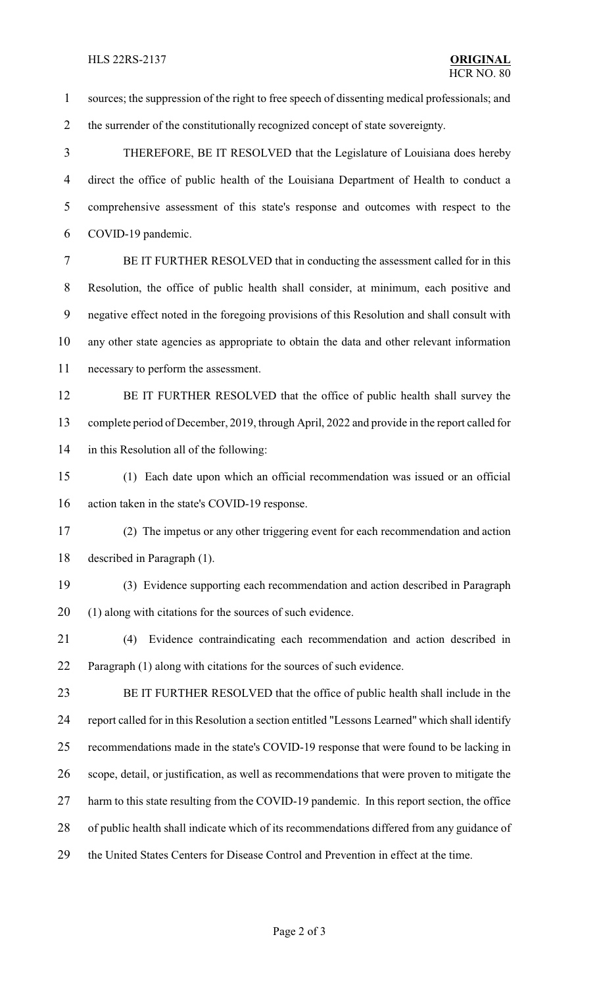sources; the suppression of the right to free speech of dissenting medical professionals; and 2 the surrender of the constitutionally recognized concept of state sovereignty. THEREFORE, BE IT RESOLVED that the Legislature of Louisiana does hereby direct the office of public health of the Louisiana Department of Health to conduct a comprehensive assessment of this state's response and outcomes with respect to the COVID-19 pandemic. BE IT FURTHER RESOLVED that in conducting the assessment called for in this Resolution, the office of public health shall consider, at minimum, each positive and negative effect noted in the foregoing provisions of this Resolution and shall consult with any other state agencies as appropriate to obtain the data and other relevant information necessary to perform the assessment. 12 BE IT FURTHER RESOLVED that the office of public health shall survey the complete period of December, 2019, through April, 2022 and provide in the report called for in this Resolution all of the following: (1) Each date upon which an official recommendation was issued or an official action taken in the state's COVID-19 response. (2) The impetus or any other triggering event for each recommendation and action described in Paragraph (1). (3) Evidence supporting each recommendation and action described in Paragraph (1) along with citations for the sources of such evidence. (4) Evidence contraindicating each recommendation and action described in Paragraph (1) along with citations for the sources of such evidence. BE IT FURTHER RESOLVED that the office of public health shall include in the report called for in this Resolution a section entitled "Lessons Learned" which shall identify recommendations made in the state's COVID-19 response that were found to be lacking in scope, detail, or justification, as well as recommendations that were proven to mitigate the 27 harm to this state resulting from the COVID-19 pandemic. In this report section, the office of public health shall indicate which of its recommendations differed from any guidance of the United States Centers for Disease Control and Prevention in effect at the time.